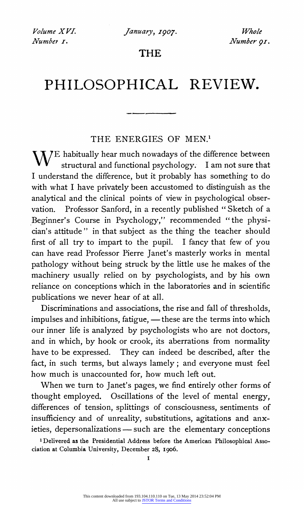**Number i. Number 91.** 

**Volume XVI. January, 1907. Whole** 

## **THE**

## **PHILOSOPHICAL REVIEW.**

## **THE ENERGIES OF MEN.'**

 $\mathbf{W}^{\rm{E}}$  habitually hear much nowadays of the difference between **structural and functional psychology. I am not sure that I understand the difference, but it probably has something to do with what I have privately been accustomed to distinguish as the analytical and the clinical points of view in psychological observation. Professor Sanford, in a recently published " Sketch of a Beginner's Course in Psychology," recommended "the physician's attitude" in that subject as the thing the teacher should first of all try to impart to the pupil. I fancy that few of you can have read Professor Pierre Janet's masterly works in mental pathology without being struck by the little use he makes of the machinery usually relied on by psychologists, and by his own reliance on conceptions which in the laboratories and in scientific publications we never hear of at all.** 

**Discriminations and associations, the rise and fall of thresholds,**  impulses and inhibitions, fatigue, — these are the terms into which **our inner life is analyzed by psychologists who are not doctors, and in which, by hook or crook, its aberrations from normality have to be expressed. They can indeed be described, after the fact, in such terms, but always lamely; and everyone must feel how much is unaccounted for, how much left out.** 

**When we turn to Janet's pages, we find entirely other forms of thought employed. Oscillations of the level of mental energy, differences of tension, splittings of consciousness, sentiments of insufficiency and of unreality, substitutions, agitations and anxieties, depersonalizations - such are the elementary conceptions** 

**'Delivered as the Presidential Address before the American Philosophical Association at Columbia University, December 28, i906.** 

**I**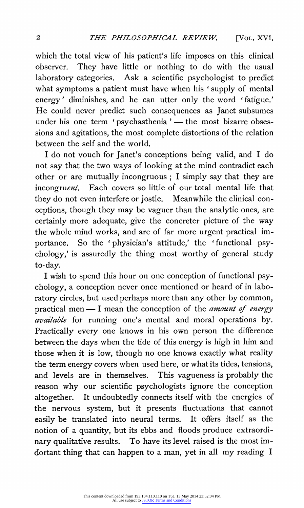**which the total view of his patient's life imposes on this clinical observer. They have little or nothing to do with the usual laboratory categories. Ask a scientific psychologist to predict what symptoms a patient must have when his ' supply of mental energy' diminishes, and he can utter only the word 'fatigue.' He could never predict such consequences as Janet subsumes**  under his one term 'psychasthenia' — the most bizarre obses**sions and agitations, the most complete distortions of the relation between the self and the world.** 

**I do not vouch for Janet's conceptions being valid, and I do not say that the two ways of looking at the mind contradict each other or are mutually incongruous; I simply say that they are incongruent. Each covers so little of our total mental life that they do not even interfere or jostle. Meanwhile the clinical conceptions, though they may be vaguer than the analytic ones, are certainly more adequate, give the concreter picture of the way the whole mind works, and are of far more urgent practical importance. So the ' physician's attitude,' the ' functional psychology,' is assuredly the thing most worthy of general study to-day.** 

**I wish to spend this hour on one conception of functional psychology, a conception never once mentioned or heard of in laboratory circles, but used perhaps more than any other by common, practical men - I mean the conception of the amount of energy available for running one's mental and moral operations by. Practically every one knows in his own person the difference between the days when the tide of this energy is high in him and those when it is low, though no one knows exactly what reality the term energy covers when used here, or what its tides, tensions, and levels are in themselves. This vagueness is probably the reason why our scientific psychologists ignore the conception altogether, It undoubtedly connects itself with the energies of the nervous system, but it presents fluctuations that cannot easily be translated into neural terms. It offers itself as the notion of a quantity, but its ebbs and floods produce extraordinary qualitative results. To have its level raised is the most imdortant thing that can happen to a man, yet in all my reading I**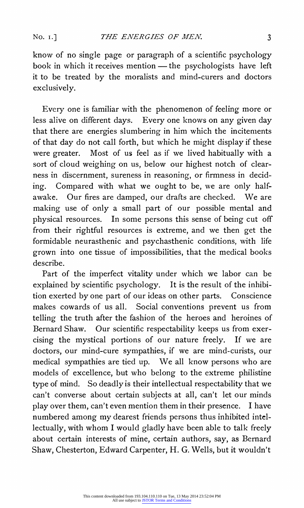**know of no single page or paragraph of a scientific psychology**  book in which it receives mention — the psychologists have left **it to be treated by the moralists and mind-curers and doctors exclusively.** 

**Every one is familiar with the phenomenon of feeling more or less alive on different days. Every one knows on any given day that there are energies slumbering in him which the incitements of that day do not call forth, but which he might display if these were greater. Most of us feel as if we lived habitually with a sort of cloud weighing on us, below our highest notch of clearness in discernment, sureness in reasoning, or firmness in deciding. Compared with what we ought to be, we are only halfawake. Our fires are damped, our drafts are checked. We are making use of only a small part of our possible mental and physical resources. In some persons this sense of being cut off from their rightful resources is extreme, and we then get the formidable neurasthenic and psychasthenic conditions, with life grown into one tissue of impossibilities, that the medical books describe.** 

**Part of the imperfect vitality under which we labor can be explained by scientific psychology. It is the result of the inhibition exerted by one part of our ideas on other parts. Conscience makes cowards of us all. Social conventions prevent us from telling the truth after the fashion of the heroes and heroines of Bernard Shaw. Our scientific respectability keeps us from exercising the mystical portions of our nature freely. If we are doctors, our mind-cure sympathies, if we are mind-curists, our medical sympathies are tied up. We all know persons who are models of excellence, but who belong to the extreme philistine type of mind. So deadly is their intellectual respectability that we can't converse about certain subjects at all, can't let our minds play over them, can't even mention them in their presence. I have numbered among my dearest friends persons thus inhibited intellectually, with whom I would gladly have been able to talk freely about certain interests of mine, certain authors, say, as Bernard Shaw, Chesterton, Edward Carpenter, H. G. Wells, but it wouldn't**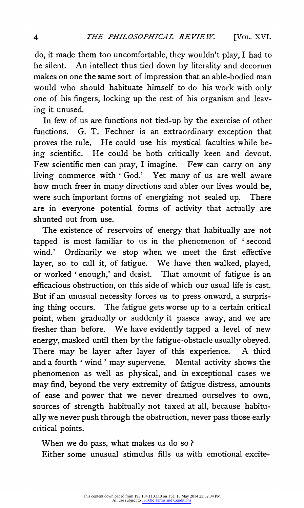**do, it made them too uncomfortable, they wouldn't play, I had to be silent. An intellect thus tied down by literality and decorum makes on one the same sort of impression that an able-bodied man would who should habituate himself to do his work with only one of his fingers, locking up the rest of his organism and leaving it unused.** 

**In few of us are functions not tied-up by the exercise of other functions. G. T. Fechner is an extraordinary exception that proves the rule. He could use his mystical faculties while being scientific. He could be both critically keen and devout. Few scientific men can pray, I imagine. Few can carry on any living commerce with ' God.' Yet many of us are well aware how much freer in many directions and abler our lives would be, were such important forms of energizing not sealed up. There are in everyone potential forms of activity that actually are shunted out from use.** 

**The existence of reservoirs of energy that habitually are not tapped is most familiar to us in the phenomenon of 'second wind.' Ordinarily we stop when we meet the first effective layer, so to call it, of fatigue. We have then walked, played, or worked ' enough,' and desist. That amount of fatigue is an efficacious obstruction, on this side of which our usual life is cast. But if an unusual necessity forces us to press onward, a surprising thing occurs. The fatigue gets worse up to a certain critical point, when gradually or suddenly it passes away, and we are fresher than before. We have evidently tapped a level of new energy, masked until then by the fatigue-obstacle usually obeyed. There may be layer after layer of this experience. A third and a fourth ' wind' may supervene. Mental activity shows the phenomenon as well as physical, and in exceptional cases we may find, beyond the very extremity of fatigue distress, amounts of ease and power that we never dreamed ourselves to own, sources of strength habitually not taxed at all, because habitually we never push through the obstruction, never pass those early critical points.** 

**When we do pass, what makes us do so? Either some unusual stimulus fills us with emotional excite-**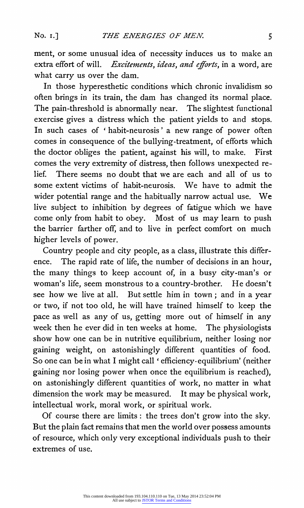**ment, or some unusual idea of necessity induces us to make an extra effort of will. Excitements, ideas, and efforts, in a word, are what carry us over the dam.** 

**In those hyperesthetic conditions which chronic invalidism so often brings in its train, the dam has changed its normal place. The pain-threshold is abnormally near. The slightest functional exercise gives a distress which the patient yields to and stops. In such cases of ' habit-neurosis' a new range of power often comes in consequence of the bullying-treatment, of efforts which the doctor obliges the patient, against his will, to make. First comes the very extremity of distress, then follows' unexpected relief. There seems no doubt that we are each and all of us to some extent victims of habit-neurosis. We have to admit the wider potential range and the habitually narrow actual use. We live subject to inhibition by degrees of fatigue which we have come only from habit to obey. Most of us may learn to push the barrier farther of, and to live in perfect comfort on much higher levels of power.** 

**Country people and city people, as a class, illustrate this difference. The rapid rate of life, the number of decisions in an hour, the many things to keep account of, in a busy city-man's or woman's life, seem monstrous to a country-brother. He doesn't see how we live at all. But settle him in town; and in a year or two, if not too old, he will have trained himself to keep the pace as well as any of us, getting more out of himself in any week then he ever did in ten weeks at home. The physiologists show how one can be in nutritive equilibrium, neither losing nor gaining weight, on astonishingly different quantities of food. So one can be in what I might call ' efficiency-equilibrium' (neither gaining nor losing power when once the equilibrium is reached), on astonishingly different quantities of work, no matter in what dimension the work may be measured. It may be physical work, intellectual work, moral work, or spiritual work.** 

**Of course there are limits: the trees don't grow into the sky. But the plain fact remains that men the world over possess amounts of resource, which only very exceptional individuals push to their extremes of use.**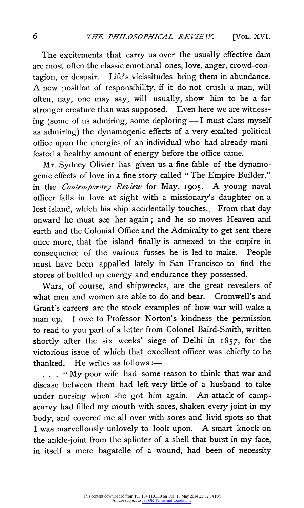**The excitements that carry us over the usually effective dam are most often the classic emotional ones, love, anger, crowd-contagion, or despair. Life's vicissitudes bring them in abundance. A new position of responsibility, if it do not crush a man, will often, nay, one may say, will usually, show him to be a far stronger creature than was supposed. Even here we are witness**ing (some of us admiring, some deploring — I must class myself **as admiring) the dynamogenic effects of a very exalted political office upon the energies of an individual who had already manifested a healthy amount of energy before the office came.** 

**Mr. Sydney Olivier has given us a fine fable of the dynamogenic effects of love in a fine story called " The Empire Builder," in the Contemporary Review for May, I905. A young naval officer falls in love at sight with a missionary's daughter on a lost island, which his ship accidentally touches. From that day onward he must see her again; and he so moves Heaven and earth and the Colonial Office and the Admiralty to get sent there once more, that the island finally is annexed to the empire in consequence of the various fusses he is led to make. People must have been appalled lately in San Francisco to find the stores of bottled up energy and endurance they possessed.** 

**Wars, of course, and shipwrecks, are the great revealers of what men and women are able to do and bear. Cromwell's and Grant's careers are the stock examples of how war will wake a man up. I owe to Professor Norton's kindness the permission to read to you part of a letter from Colonel Baird-Smith, written shortly after the six weeks' siege of Delhi in I857, for the victorious issue of which that excellent officer was chiefly to be**  thanked. He writes as follows:-

**. . . " My poor wife had some reason to think that war and disease between them had left very little of a husband to take under nursing when she got him again. An attack of campscurvy had filled my mouth with sores, shaken every joint in my**  body, and covered me all over with sores and livid spots so that **I was marvellously unlovely to look upon. A smart knock on the ankle-joint from the splinter of a shell that burst in my face, in itself a mere bagatelle of a wound, had been of necessity**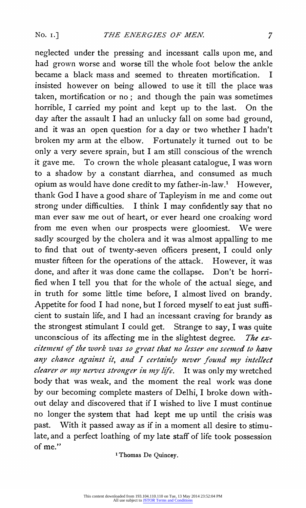**neglected under the pressing and incessant calls upon me, and had grown worse and worse till the whole foot below the ankle became a black mass and seemed to threaten mortification. I insisted however on being allowed to use it till the place was taken, mortification or no; and though the pain was sometimes**  horrible, I carried my point and kept up to the last. **day after the assault I had an unlucky fall on some bad ground, and it was an open question for a day or two whether I hadn't broken my arm at the elbow. Fortunately it turned out to be only a very severe sprain, but I am still conscious of the wrench it gave me. To crown the whole pleasant catalogue, I was worn to a shadow by a constant diarrhea, and consumed as much opium as would have done credit to my father-in-law.' However, thank God I have a good share of Tapleyism in me and come out strong under difficulties. I think I may confidently say that no man ever saw me out of heart, or ever heard one croaking word from me even when our prospects were gloomiest. We were sadly scourged by the cholera and it was almost appalling to me to find that out of twenty-seven officers present, I could only muster fifteen for the operations of the attack. However, it was done, and after it was done came the collapse. Don't be horrified when I tell you that for the whole of the actual siege, and in truth for some little time before, I almost lived on brandy. Appetite for food I had none, but I forced myself to eat just sufficient to sustain life, and I had an incessant craving for brandy as the strongest stimulant I could get. Strange to say, I was quite**  unconscious of its affecting me in the slightest degree. **citement of the work was so great that no lesser one seemed to have any chance against it, and I certainly never found my intellect**  clearer or my nerves stronger in my life. It was only my wretched **body that was weak, and the moment the real work was done by our becoming complete masters of Delhi, I broke down without delay and discovered that if I wished to live I must continue no longer the system that had kept me up until the crisis was past. With it passed away as if in a moment all desire to stimulate, and a perfect loathing of my late staff of life took possession of me."** 

**I Thomas De Quincey.**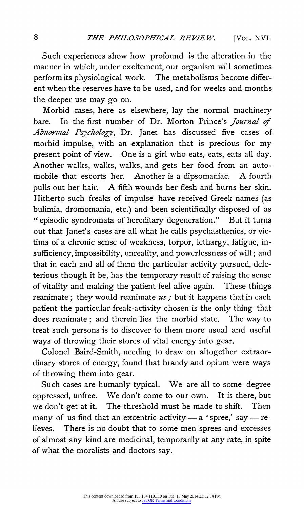**Such experiences show how profound is the alteration in the manner in which, under excitement, our organism will sometimes perform its physiological work. The metabolisms become different when the reserves have to be used, and for weeks and months the deeper use may go on.** 

**Morbid cases, here as elsewhere, lay the normal machinery bare. In the first number of Dr. Morton Prince's Journal of Abnormal Psychology, Dr. Janet has discussed five cases of morbid impulse, with an explanation that is precious for my present point of view. One is a girl who eats, eats, eats all day. Another walks, walks, walks, and gets her food from an automobile that escorts her. Another is a dipsomaniac. A fourth pulls out her hair. A fifth wounds her flesh and burns her skin. Hitherto such freaks of impulse have received Greek names (as bulimia, dromomania, etc.) and been scientifically disposed of as " episodic syndromata of hereditary degeneration." But it turns out that Janet's cases are all what he calls psychasthenics, or victims of a chronic sense of weakness, torpor, lethargy, fatigue, insufficiency, impossibility, unreality, and powerlessness of will; and that in each and all of them the particular activity pursued, deleterious though it be, has the temporary result of raising the sense of vitality and making the patient feel alive again. These things reanimate; they would reanimate us; but it happens that in each patient the particular freak-activity chosen is the only thing that does reanimate; and therein lies the morbid state. The way to treat such persons is to discover to them more usual and useful ways of throwing their stores of vital energy into gear.** 

**Colonel Baird-Smith, needing to draw on altogether extraordinary stores of energy, found that brandy and opium were ways of throwing them into gear.** 

**Such cases are humanly typical. We are all to some degree oppressed, unfree. We don't come to our own. It is there, but we don't get at it. The threshold must be made to shift. Then**  many of us find that an excentric activity - a 'spree,' say - re**lieves. There is no doubt that to some men sprees and excesses of almost any kind are medicinal, temporarily at any rate, in spite of what the moralists and doctors say.**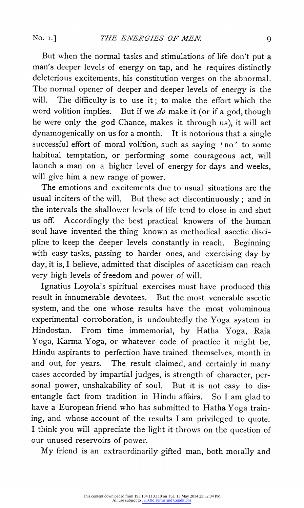**But when the normal tasks and stimulations of life don't put a man's deeper levels of energy on tap, and he requires distinctly deleterious excitements, his constitution verges on the abnormal. The normal opener of deeper and deeper levels of energy is the will. The difficulty is to use it; to make the effort which the word volition implies. But if we do make it (or if a god, though he were only the god Chance, makes it through us), it will act dynamogenically on us for a month. It is notorious that a single successful effort of moral volition, such as saying ' no' to some habitual temptation, or performing some courageous act, will launch a man on a higher level of energy for days and weeks, will give him a new range of power.** 

**The emotions and excitements due to usual situations are the usual inciters of the will. But these act discontinuously; and in the intervals the shallower levels of life tend to close in and shut us off. Accordingly the best practical knowers of the human soul have invented the thing known as methodical ascetic discipline to keep the deeper levels constantly in reach. Beginning with easy tasks, passing to harder ones, and exercising day by day, it is, I believe, admitted that disciples of asceticism can reach very high levels of freedom and power of will.** 

**Ignatius Loyola's spiritual exercises must have produced this result in innumerable devotees. But the most venerable ascetic system, and the one whose results have the most voluminous experimental corroboration, is undoubtedly the Yoga system in Hindostan. From time immemorial, by Hatha Yoga, Raja Yoga, Karma Yoga, or whatever code of practice it might be, Hindu aspirants to perfection have trained themselves, month in and out, for years. The result claimed, and certainly in many cases accorded by impartial judges, is strength of character, personal power, unshakability of soul. But it is not easy to disentangle fact from tradition in Hindu affairs. So I am glad to have a European friend who has submitted to Hatha Yoga training, and whose account of the results I am privileged to quote. I think you will appreciate the light it throws on the question of our unused reservoirs of power.** 

**My friend is an extraordinarily gifted man, both morally and**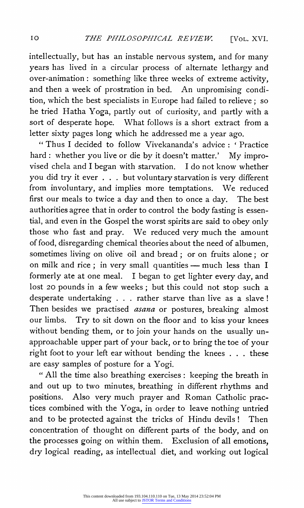**intellectually, but has an instable nervous system, and for many years has lived in a circular process of alternate lethargy and over-animation: something like three weeks of extreme activity, and then a week of prostration in bed. An unpromising condition, which the best specialists in Europe had failed to relieve; so he tried Hatha Yoga, partly out of curiosity, and partly with a sort of desperate hope. What follows is a short extract from a letter sixty pages long which he addressed me a year ago.** 

**" Thus I decided to follow Vivekananda's advice: ' Practice hard: whether you live or die by it doesn't matter.' My improvised chela and I began with starvation. I do not know whether you did try it ever . . . but voluntary starvation is very different from involuntary, and implies more temptations. We reduced first our meals to twice a day and then to once a day. The best authorities agree that in order to control the body fasting is essential, and even in the Gospel the worst spirits are said to obey only those who fast and pray. We reduced very much the amount of food, disregarding chemical theories about the need of albumen, sometimes living on olive oil and bread; or on fruits alone; or on milk and rice; in very small quantities - much less than I formerly ate at one meal. I began to get lighter every day, and lost 20 pounds in a few weeks; but this could not stop such a desperate undertaking . . . rather starve than live as a slave ! Then besides we practised asana or postures, breaking almost our limbs. Try to sit down on the floor and to kiss your knees without bending them, or to join your hands on the usually unapproachable upper part of your back, or to bring the toe of your right foot to your left ear without bending the knees . . . these are easy samples of posture for a Yogi.** 

**" All the time also breathing exercises: keeping the breath in and out up to two minutes, breathing in different rhythms and positions. Also very much prayer and Roman Catholic practices combined with the Yoga, in order to leave nothing untried and to be protected against the tricks of Hindu devils ! Then concentration of thought on different parts of the body, and on the processes going on within them. Exclusion of all emotions, dry logical reading, as intellectual diet, and working out logical**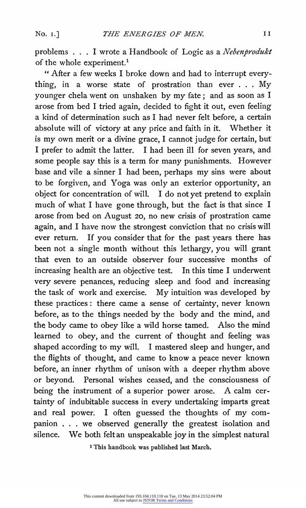**p** of the whole experiment.<sup>1</sup>

" After a few weeks I broke down and had to interrupt everything, in a worse state of prostration than ever . . . My **younger chela went on unshaken by my fate; and as soon as I** arose from bed I tried again, decided to fight it out, even feeling a kind of determination such as I had never felt before, a certain absolute will of victory at any price and faith in it. Whether it is my own merit or a divine grace, I cannot judge for certain, but I prefer to admit the latter. I had been ill for seven years, and some people say this is a term for many punishments. However base and vile a sinner I had been, perhaps my sins were about to be forgiven, and Yoga was only an exterior opportunity, an **b**e for concentration of will. I do not yet pretend to explain much of what I have gone through, but the fact is that since I arose from bed on August 20, no new crisis of prostration came again, and I have now the strongest conviction that no crisis will ever return. If you consider that for the past years there has been not a single month without this lethargy, you will grant that even to an outside observer four successive months of increasing health are an objective test. In this time I underwent very severe penances, reducing sleep and food and increasing the task of work and exercise. My intuition was developed by these practices: there came a sense of certainty, never known before, as to the things needed by the body and the mind, and the body came to obey like a wild horse tamed. Also the mind learned to obey, and the current of thought and feeling was shaped according to my will. I mastered sleep and hunger, and the flights of thought, and came to know a peace never known before, an inner rhythm of unison with a deeper rhythm above or beyond. Personal wishes ceased, and the consciousness of being the instrument of a superior power arose. A calm certainty of indubitable success in every undertaking imparts great and real power. I often guessed the thoughts of my companion . . . we observed generally the greatest isolation and silence. We both feltan unspeakable joy in the simplest natural

<sup>1</sup> This handbook was published last March.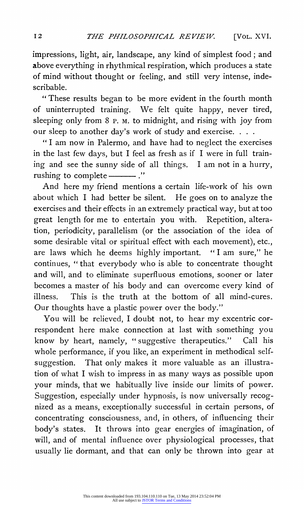**impressions, light, air, landscape, any kind of simplest food; and above everything in rhythmical respiration, which produces a state of mind without thought or feeling, and still very intense, indescribable.** 

**" These results began to be more evident in the fourth month of uninterrupted training. We felt quite happy, never tired, sleeping only from 8 P. M. to midnight, and rising with joy from our sleep to another day's work of study and exercise....** 

**" I am now in Palermo, and have had to neglect the exercises in the last few days, but I feel as fresh as if I were in full training and see the sunny side of all things. I am not in a hurry, rushing to complete ."** 

**And here my friend mentions a certain life-work of his own about which I had better be silent. He goes on to analyze the exercises and their effects in an extremely practical way, but at too great length for me to entertain you with. Repetition, alteration, periodicity, parallelism (or the association of the idea of some desirable vital or spiritual effect with each movement), etc., are laws which he deems highly important. " I am sure," he continues, " that everybody who is able to concentrate thought and will, and to eliminate superfluous emotions, sooner or later becomes a master of his body and can overcome every kind of illness. This is the truth at the bottom of all mind-cures. Our thoughts have a plastic power over the body."** 

**You will be relieved, I doubt not, to hear my excentric correspondent here make connection at last with something you**  know by heart, namely, "suggestive therapeutics." Call his **whole performance, if you like, an experiment in methodical selfsuggestion. That only makes it more valuable as an illustration of what I wish to impress in as many ways as possible upon your minds, that we habitually live inside our limits of power. Suggestion, especially under hypnosis, is now universally recognized as a means, exceptionally successful in certain persons, of concentrating consciousness, and, in others, of influencing their body's states. It throws into gear energies of imagination, of will, and of mental influence over physiological processes, that usually lie dormant, and that can only be thrown into gear at**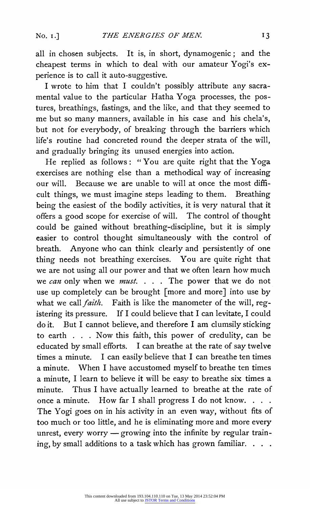$No. I.$ ]

all in chosen subjects. It is, in short, dynamogenic; and the cheapest terms in which to deal with our amateur Yogi's experience is to call it auto-suggestive.

I wrote to him that I couldn't possibly attribute any sacramental value to the particular Hatha Yoga processes, the postures, breathings, fastings, and the like, and that they seemed to me but so many manners, available in his case and his chela's, but not for everybody, of breaking through the barriers which life's routine had concreted round the deeper strata of the will, and gradually bringing its unused energies into action.

He replied as follows: "You are quite right that the Yoga exercises are nothing else than a methodical way of increasing our will. Because we are unable to will at once the most difficult things, we must imagine steps leading to them. Breathing being the easiest of the bodily activities, it is very natural that it offers a good scope for exercise of will. The control of thought could be gained without breathing-discipline, but it is simply easier to control thought simultaneously with the control of breath. Anyone who can think clearly and persistently of one thing needs not breathing exercises. You are quite right that we are not using all our power and that we often learn how much we can only when we *must.* . . . The power that we do not use up completely can be brought [more and more] into use by what we call *faith*. Faith is like the manometer of the will, registering its pressure. If I could believe that I can levitate, I could do it. But I cannot believe, and therefore I am clumsily sticking to earth . . . Now this faith, this power of credulity, can be educated by small efforts. I can breathe at the rate of say twelve times a minute. I can easily believe that I can breathe ten times a minute. When I have accustomed myself to breathe ten times a minute. I learn to believe it will be easy to breathe six times a minute. Thus I have actually learned to breathe at the rate of once a minute. How far I shall progress I do not know. . . . The Yogi goes on in his activity in an even way, without fits of too much or too little, and he is eliminating more and more every unrest, every worry - growing into the infinite by regular training, by small additions to a task which has grown familiar. . . .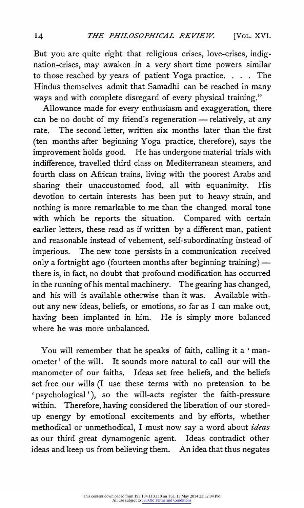**But you are quite right that religious crises, love-crises, indignation-crises, may awaken in a very short time powers similar to those reached by years of patient Yoga practice. . . . The' Hindus themselves admit that Samadhi can be reached in many ways and with complete disregard of every physical training."** 

**Allowance made for every enthusiasm and exaggeration, there**  can be no doubt of my friend's regeneration — relatively, at any **rate. The second letter, written six months later than the first (ten months after beginning Yoga practice, therefore), says the improvement holds good. He has undergone material trials with indifference, travelled third class on Mediterranean steamers, and fourth class on African trains, living with the poorest Arabs and sharing their unaccustomed food, all with equanimity. His devotion to certain interests has been put to heavy strain, and nothing is more remarkable to me than the changed moral tone with which he reports the situation. Compared with certain earlier letters, these read as if written by a different man, patient and reasonable instead of vehement, self-subordinating instead of imperious. The new tone persists in a communication received only a fortnight ago (fourteen months after beginning training) there is, in fact, no doubt that profound modification has occurred in the running of his mental machinery. The gearing has changed, and his will is available otherwise than it was. Available without any new ideas, beliefs, or emotions, so far as I can make out, having been implanted in him. He is simply more balanced where he was more unbalanced.** 

**You will remember that he speaks of faith, calling it a ' manometer' of the will. It sounds more natural to call our will the manometer of our faiths. Ideas set free beliefs, and the beliefs set free our wills (I use these terms with no pretension to be ' psychological'), so the will-acts register the faith-pressure within. Therefore, having considered the liberation of our storedup energy by emotional excitements and by efforts, whether methodical or unmethodical, I must now say a word about ideas as our third great dynamogenic agent. Ideas contradict other ideas and keep us from believing them. An idea that thus negates**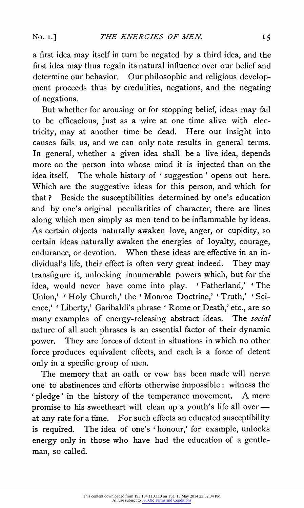**a first idea may itself in turn be negated by a third idea, and the first idea may thus regain its natural influence over our belief and determine our behavior. Our philosophic and religious development proceeds thus by credulities, negations, and the negating of negations.** 

**But whether for arousing or for stopping belief, ideas may fail to be efficacious, just as a wire at one time alive with electricity, may at another time be dead. Here our insight into causes fails us, and we can only note results in general terms. In general, whether a given idea shall be a live idea, depends more on the person into whose mind it is injected than on the idea itself. The whole history of ' suggestion ' opens out here. Which are the suggestive ideas for this person, and which for that ? Beside the susceptibilities determined by one's education and by one's original peculiarities of character, there are lines along which men simply as men tend to be inflammable by ideas. As certain objects naturally awaken love, anger, or cupidity, so certain ideas naturally awaken the energies of loyalty, courage, endurance, or devotion. When these ideas are effective in an individual's life, their effect is often very great indeed. They may transfigure it, unlocking innumerable powers which, but for the idea, would never have come into play. ' Fatherland,' 'The Union,' 'Holy Church,' the ' Monroe Doctrine,' ' Truth,' 'Science,' 'Liberty,' Garibaldi's phrase ' Rome or Death,' etc., are so many examples of energy-releasing abstract ideas. The social nature of all such phrases is an essential factor of their dynamic power. They are forces of detent in situations in which no other force produces equivalent effects, and each is a force of detent only in a specific group of men.** 

**The memory that an oath or vow has been made will nerve one to abstinences and efforts otherwise impossible: witness the 'pledge' in the history of the temperance movement. A mere**  promise to his sweetheart will clean up a youth's life all over **at any rate for a time. For such effects an educated susceptibility is required. The idea of one's ' honour,' for example, unlocks energy only in those who have had the education of a gentleman, so called.**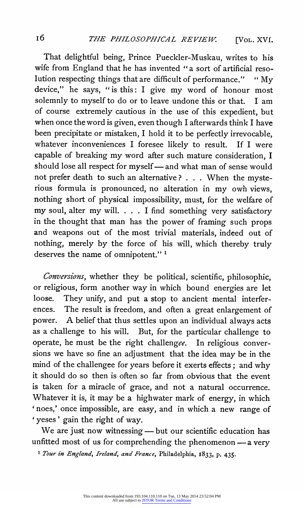**That delightful being, Prince Pueckler-Muskau, writes to his wife from England that he has invented "a sort of artificial resolution respecting things that are difficult of performance." " My device," he says, "is this: I give my word of honour most solemnly to myself to do or to leave undone this or that. I am of course extremely cautious in the use of this expedient, but when once the word is given, even though I afterwards think I have been precipitate or mistaken, I hold it to be perfectly irrevocable, whatever inconveniences I foresee likely to result. If I were capable of breaking my word after such mature consideration, I**  should lose all respect for myself - and what man of sense would **not prefer death to such an alternative ? . . . When the mysterious formula is pronounced, no alteration in my own views, nothing short of physical impossibility, must, for the welfare of my soul, alter my will. . . . I find something very satisfactory in the thought that man has the power of framing such props and weapons out of the most trivial materials, indeed out of nothing, merely by the force of his will, which thereby truly deserves the name of omnipotent." 1** 

**Conversions, whether they be political, scientific, philosophic, or religious, form another way in which bound energies are let loose. They unify, and put a stop to ancient mental interferences. The result is freedom, and often a great enlargement of power. A belief that thus settles upon an individual always acts as a challenge to his will. But, for the particular challenge to**  operate, he must be the right challengee. In religious conver**sions we have so fine an adjustment that the idea may be in the mind of the challenges for years before it exerts effects; and why it should do so then is often so far from obvious that the event is taken for a miracle of grace, and not a natural occurrence. Whatever it is, it may be a highwater mark of energy, in which 'noes,' once impossible, are easy, and in which a new range of yeses' gain the right of way.** 

We are just now witnessing - but our scientific education has unfitted most of us for comprehending the phenomenon - a very

**I Tour in England, Ireland, and France, Philadelphia, i833, p. 435.**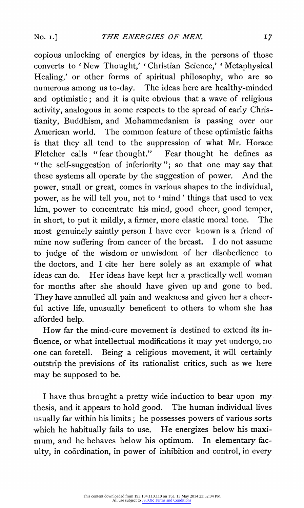**copious unlocking of energies by ideas, in the persons of those converts to ' New Thought,' ' Christian Science,' ' Metaphysical Healing,' or other forms of spiritual philosophy, who are so numerous among us to-day. The ideas here are healthy-minded and optimistic; and it is quite obvious that a wave of religious activity, analogous in some respects to the spread of early Christianity, Buddhism, and Mohammedanism is passing over our American world. The common feature of these optimistic faiths is that they all tend to the suppression of what Mr. Horace Fletcher calls "fear thought." Fear thought he defines as "the self-suggestion of inferiority "; so that one may say that these systems all operate by the suggestion of power. And the power, small or great, comes in various shapes to the individual, power, as he will tell you, not to ' mind' things that used to vex him, power to concentrate his mind, good cheer, good temper, in short, to put it mildly, a firmer, more elastic moral tone. The most genuinely saintly person I have ever known is a friend of mine now suffering from cancer of the breast. I do not assume to judge of the wisdom or unwisdom of her disobedience to the doctors, and I cite her here solely as an example of what ideas can do. Her ideas have kept her a practically well woman for months after she should have given up and gone to bed. They have annulled all pain and weakness and given her a cheerful active life, unusually beneficent to others to whom she has afforded help.** 

**How far the mind-cure movement is destined to extend its influence, or what intellectual modifications it may yet undergo, no one can foretell. Being a religious movement, it will certainly outstrip the previsions of its rationalist critics, such as we here may be supposed to be.** 

**I have thus brought a pretty wide induction to bear upon my. thesis, and it appears to hold good. The human individual lives usually far within his limits; he possesses powers of various sorts which he habitually fails to use. He energizes below his maximum, and he behaves below his optimum. In elementary faculty, in coordination, in power of inhibition and control, in every**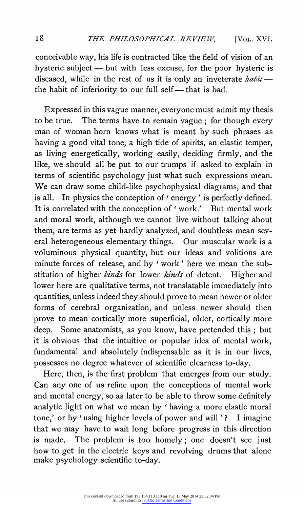**conceivable way, his life is contracted like the field of vision of an hysteric subject - but with less excuse, for the poor hysteric is diseased, while in the rest of us it is only an inveterate habit**  the habit of inferiority to our full self - that is bad.

**Expressed in this vague manner, everyone must admit my thesis to be true. The terms have to remain vague; for though every man of woman born knows what is meant by such phrases as having a good vital tone, a high tide of spirits, an elastic temper, as living energetically, working easily, deciding firmly, and the like, we should all be put to our trumps if asked to explain in terms of scientific psychology just what such expressions mean. We can draw some child-like psychophysical diagrams, and that is all. In physics the conception of ' energy' is perfectly defined. It is correlated with the conception of ' work.' But mental work and moral work, although we cannot live without talking about them, are terms as yet hardly analyzed, and doubtless mean several heterogeneous elementary things. Our muscular work is a voluminous physical quantity, but our ideas and volitions are minute forces of release, and by ' work' here we mean the substitution of higher kinds for lower kinds of detent. Higher and lower here are qualitative terms, not translatable immediately into quantities, unless indeed they should prove to mean newer or older forms of cerebral organization, and unless newer should then prove to mean cortically more superficial, older, cortically more deep. Some anatomists, as you know, have pretended this; but it is obvious that the intuitive ot popular idea of mental work, fundamental and absolutely indispensable as it is in our lives, possesses no degree whatever of scientific clearness to-day.** 

**Here, then, is the first problem that emerges from our study. Can any one of us refine upon the conceptions of mental work and mental energy, so as later to be able to throw some definitely analytic light on what we mean by ' having a more elastic moral tone,' or by ' using higher levels of power and will'? I imagine that we may have to wait long before progress in this direction is made. The problem is too homely; one doesn't see just how to get in the electric keys and revolving drums that alone make psychology scientific to-day.**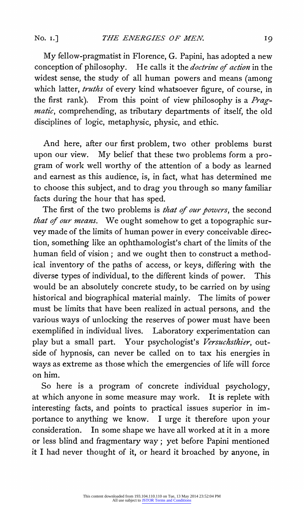**My fellow-pragmatist in Florence, G. Papini, has adopted a new conception of philosophy. He calls it the doctrine of action in the widest sense, the study of all human powers and means (among which latter, truths of every kind whatsoever figure, of course, in the first rank). From this point of view philosophy is a Prag**matic, comprehending, as tributary departments of itself, the old **disciplines of logic, metaphysic, physic, and ethic.** 

**And here, after our first problem, two other problems burst upon our view. My belief that these two problems form a program of work well worthy of the attention of a body as learned and earnest as this audience, is, in fact, what has determined me to choose this subject, and to drag you through so many familiar facts during the hour that has sped.** 

**The first of the two problems is that of our powers, the second that of our means. We ought somehow to get a topographic survey made of the limits of human power in every conceivable direction, something like an ophthamologist's chart of the limits of the human field of vision; and we ought then to construct a methodical inventory of the paths of access, or keys, differing with the diverse types of individual, to the different kinds of power. This would be an absolutely concrete study, to be carried on by using historical and biographical material mainly. The limits of power must be limits that have been realized in actual persons, and the various ways of unlocking the reserves of power must have been exemplified in individual lives. Laboratory experimentation can play but a small part. Your psychologist's Versuchsthier, outside of hypnosis, can never be called on to tax his energies in ways as extreme as those which the emergencies of life will force on him.** 

**So here is a program of concrete individual psychology, at which anyone in some measure may work. It is replete with interesting facts, and points to practical issues superior in importance to anything we know. I urge it therefore upon your consideration. In some shape we have all worked at it in a more or less blind and fragmentary way; yet before Papini mentioned it I had never thought of it, or heard it broached by anyone, in**